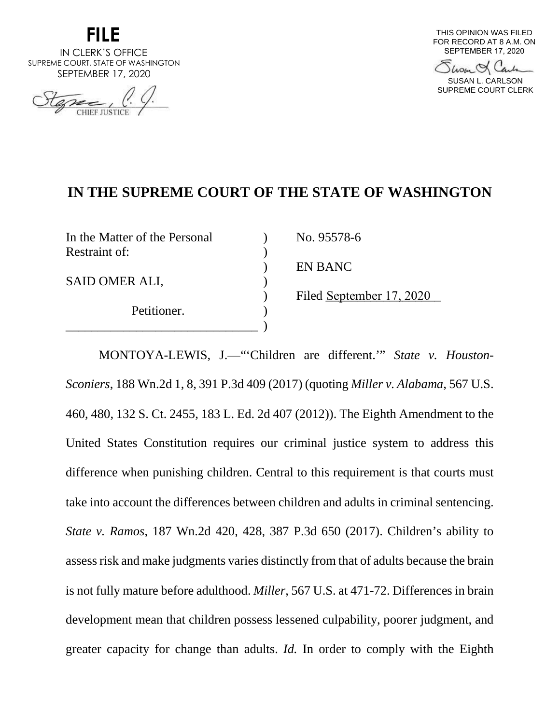

IN CLERK'S OFFICE SUPREME COURT, STATE OF WASHINGTON SEPTEMBER 17, 2020

THIS OPINION WAS FILED FOR RECORD AT 8 A.M. ON SEPTEMBER 17, 2020

Show & Carl

SUSAN L. CARLSON SUPREME COURT CLERK

# **IN THE SUPREME COURT OF THE STATE OF WASHINGTON**

| In the Matter of the Personal | No. 95578-6              |
|-------------------------------|--------------------------|
| Restraint of:                 |                          |
|                               | EN BANC                  |
| SAID OMER ALI,                |                          |
|                               | Filed September 17, 2020 |
| Petitioner.                   |                          |
|                               |                          |

MONTOYA-LEWIS, J.—"'Children are different.'" *State v. Houston-Sconiers*, 188 Wn.2d 1, 8, 391 P.3d 409 (2017) (quoting *Miller v. Alabama*, 567 U.S. 460, 480, 132 S. Ct. 2455, 183 L. Ed. 2d 407 (2012)). The Eighth Amendment to the United States Constitution requires our criminal justice system to address this difference when punishing children. Central to this requirement is that courts must take into account the differences between children and adults in criminal sentencing. *State v. Ramos*, 187 Wn.2d 420, 428, 387 P.3d 650 (2017). Children's ability to assess risk and make judgments varies distinctly from that of adults because the brain is not fully mature before adulthood. *Miller*, 567 U.S. at 471-72. Differences in brain development mean that children possess lessened culpability, poorer judgment, and greater capacity for change than adults. *Id.* In order to comply with the Eighth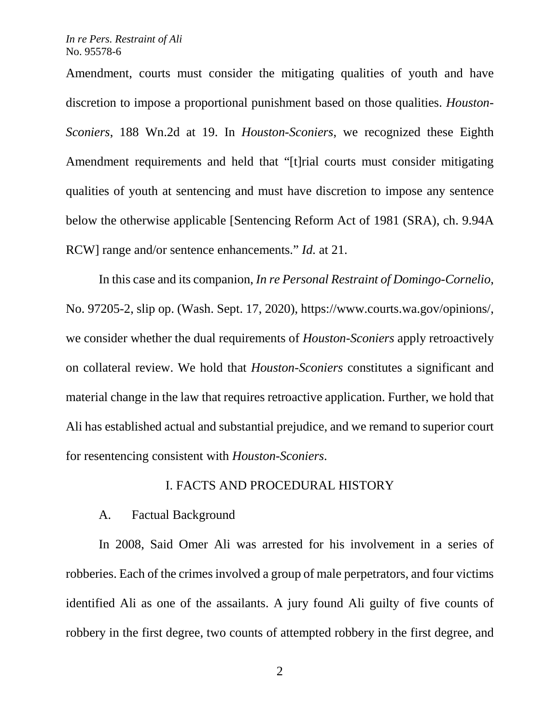Amendment, courts must consider the mitigating qualities of youth and have discretion to impose a proportional punishment based on those qualities. *Houston-Sconiers*, 188 Wn.2d at 19. In *Houston-Sconiers*, we recognized these Eighth Amendment requirements and held that "[t]rial courts must consider mitigating qualities of youth at sentencing and must have discretion to impose any sentence below the otherwise applicable [Sentencing Reform Act of 1981 (SRA), ch. 9.94A RCW] range and/or sentence enhancements." *Id.* at 21.

In this case and its companion, *In re Personal Restraint of Domingo-Cornelio*, No. 97205-2, slip op. (Wash. Sept. 17, 2020), https://www.courts.wa.gov/opinions/, we consider whether the dual requirements of *Houston-Sconiers* apply retroactively on collateral review. We hold that *Houston-Sconiers* constitutes a significant and material change in the law that requires retroactive application. Further, we hold that Ali has established actual and substantial prejudice, and we remand to superior court for resentencing consistent with *Houston-Sconiers*.

## I. FACTS AND PROCEDURAL HISTORY

## A. Factual Background

In 2008, Said Omer Ali was arrested for his involvement in a series of robberies. Each of the crimes involved a group of male perpetrators, and four victims identified Ali as one of the assailants. A jury found Ali guilty of five counts of robbery in the first degree, two counts of attempted robbery in the first degree, and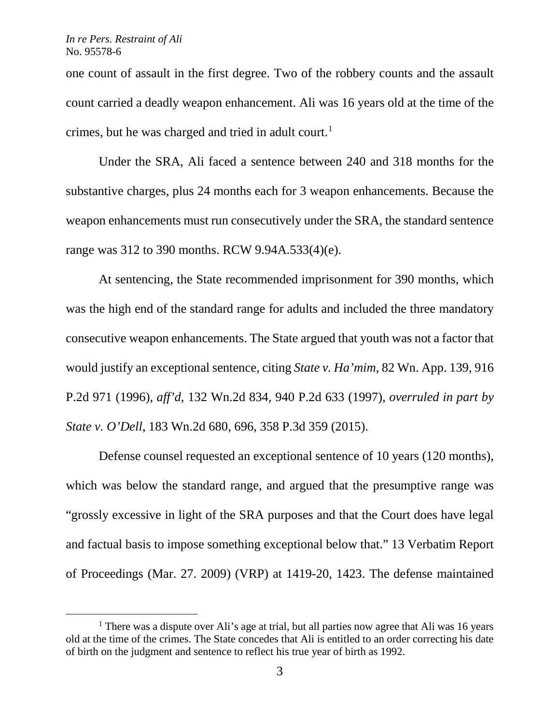one count of assault in the first degree. Two of the robbery counts and the assault count carried a deadly weapon enhancement. Ali was 16 years old at the time of the crimes, but he was charged and tried in adult court.<sup>[1](#page-2-0)</sup>

Under the SRA, Ali faced a sentence between 240 and 318 months for the substantive charges, plus 24 months each for 3 weapon enhancements. Because the weapon enhancements must run consecutively under the SRA, the standard sentence range was 312 to 390 months. RCW 9.94A.533(4)(e).

At sentencing, the State recommended imprisonment for 390 months, which was the high end of the standard range for adults and included the three mandatory consecutive weapon enhancements. The State argued that youth was not a factor that would justify an exceptional sentence, citing *State v. Ha'mim*, 82 Wn. App. 139, 916 P.2d 971 (1996), *aff'd*, 132 Wn.2d 834, 940 P.2d 633 (1997), *overruled in part by State v. O'Dell*, 183 Wn.2d 680, 696, 358 P.3d 359 (2015).

Defense counsel requested an exceptional sentence of 10 years (120 months), which was below the standard range, and argued that the presumptive range was "grossly excessive in light of the SRA purposes and that the Court does have legal and factual basis to impose something exceptional below that." 13 Verbatim Report of Proceedings (Mar. 27. 2009) (VRP) at 1419-20, 1423. The defense maintained

<span id="page-2-0"></span><sup>&</sup>lt;sup>1</sup> There was a dispute over Ali's age at trial, but all parties now agree that Ali was 16 years old at the time of the crimes. The State concedes that Ali is entitled to an order correcting his date of birth on the judgment and sentence to reflect his true year of birth as 1992.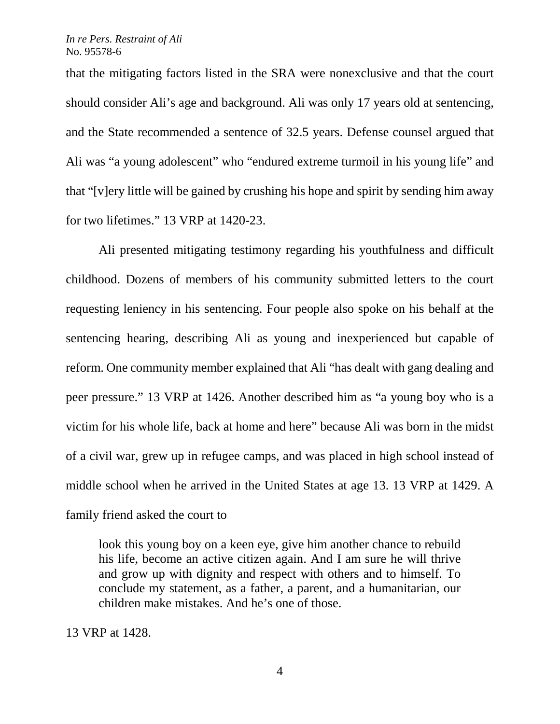that the mitigating factors listed in the SRA were nonexclusive and that the court should consider Ali's age and background. Ali was only 17 years old at sentencing, and the State recommended a sentence of 32.5 years. Defense counsel argued that Ali was "a young adolescent" who "endured extreme turmoil in his young life" and that "[v]ery little will be gained by crushing his hope and spirit by sending him away for two lifetimes." 13 VRP at 1420-23.

Ali presented mitigating testimony regarding his youthfulness and difficult childhood. Dozens of members of his community submitted letters to the court requesting leniency in his sentencing. Four people also spoke on his behalf at the sentencing hearing, describing Ali as young and inexperienced but capable of reform. One community member explained that Ali "has dealt with gang dealing and peer pressure." 13 VRP at 1426. Another described him as "a young boy who is a victim for his whole life, back at home and here" because Ali was born in the midst of a civil war, grew up in refugee camps, and was placed in high school instead of middle school when he arrived in the United States at age 13. 13 VRP at 1429. A family friend asked the court to

look this young boy on a keen eye, give him another chance to rebuild his life, become an active citizen again. And I am sure he will thrive and grow up with dignity and respect with others and to himself. To conclude my statement, as a father, a parent, and a humanitarian, our children make mistakes. And he's one of those.

13 VRP at 1428.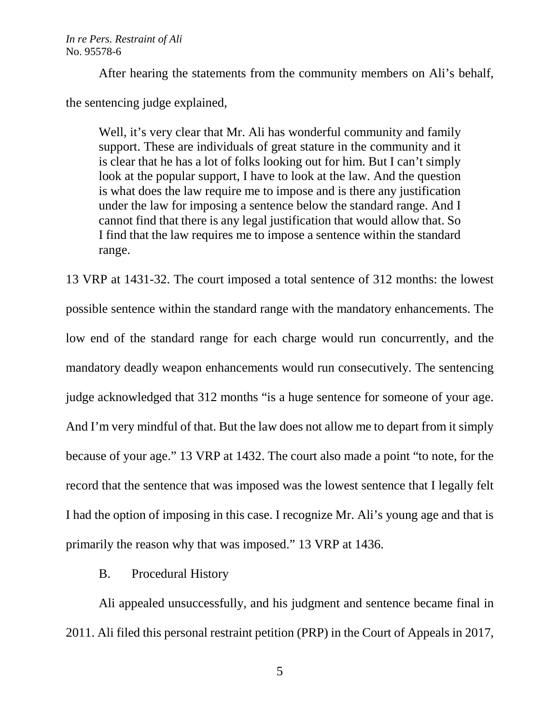After hearing the statements from the community members on Ali's behalf, the sentencing judge explained,

Well, it's very clear that Mr. Ali has wonderful community and family support. These are individuals of great stature in the community and it is clear that he has a lot of folks looking out for him. But I can't simply look at the popular support, I have to look at the law. And the question is what does the law require me to impose and is there any justification under the law for imposing a sentence below the standard range. And I cannot find that there is any legal justification that would allow that. So I find that the law requires me to impose a sentence within the standard range.

13 VRP at 1431-32. The court imposed a total sentence of 312 months: the lowest possible sentence within the standard range with the mandatory enhancements. The low end of the standard range for each charge would run concurrently, and the mandatory deadly weapon enhancements would run consecutively. The sentencing judge acknowledged that 312 months "is a huge sentence for someone of your age. And I'm very mindful of that. But the law does not allow me to depart from it simply because of your age." 13 VRP at 1432. The court also made a point "to note, for the record that the sentence that was imposed was the lowest sentence that I legally felt I had the option of imposing in this case. I recognize Mr. Ali's young age and that is primarily the reason why that was imposed." 13 VRP at 1436.

B. Procedural History

Ali appealed unsuccessfully, and his judgment and sentence became final in 2011. Ali filed this personal restraint petition (PRP) in the Court of Appeals in 2017,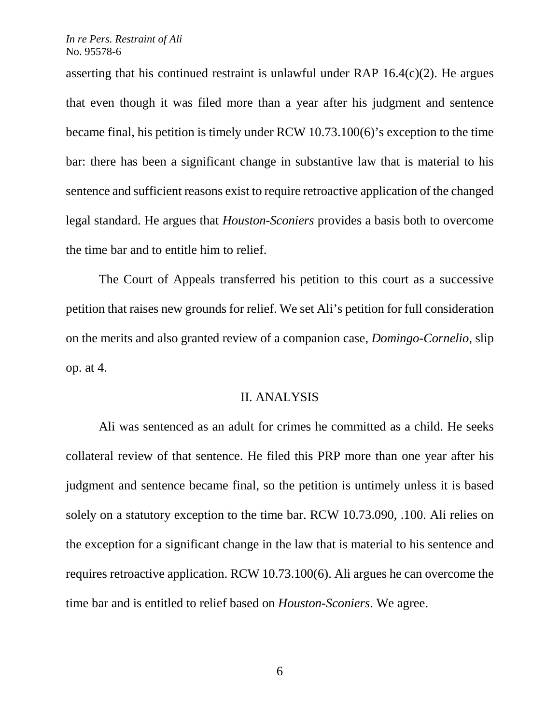asserting that his continued restraint is unlawful under RAP 16.4(c)(2). He argues that even though it was filed more than a year after his judgment and sentence became final, his petition is timely under RCW 10.73.100(6)'s exception to the time bar: there has been a significant change in substantive law that is material to his sentence and sufficient reasons exist to require retroactive application of the changed legal standard. He argues that *Houston-Sconiers* provides a basis both to overcome the time bar and to entitle him to relief.

The Court of Appeals transferred his petition to this court as a successive petition that raises new grounds for relief. We set Ali's petition for full consideration on the merits and also granted review of a companion case, *Domingo-Cornelio*, slip op. at 4.

## II. ANALYSIS

Ali was sentenced as an adult for crimes he committed as a child. He seeks collateral review of that sentence. He filed this PRP more than one year after his judgment and sentence became final, so the petition is untimely unless it is based solely on a statutory exception to the time bar. RCW 10.73.090, .100. Ali relies on the exception for a significant change in the law that is material to his sentence and requires retroactive application. RCW 10.73.100(6). Ali argues he can overcome the time bar and is entitled to relief based on *Houston-Sconiers*. We agree.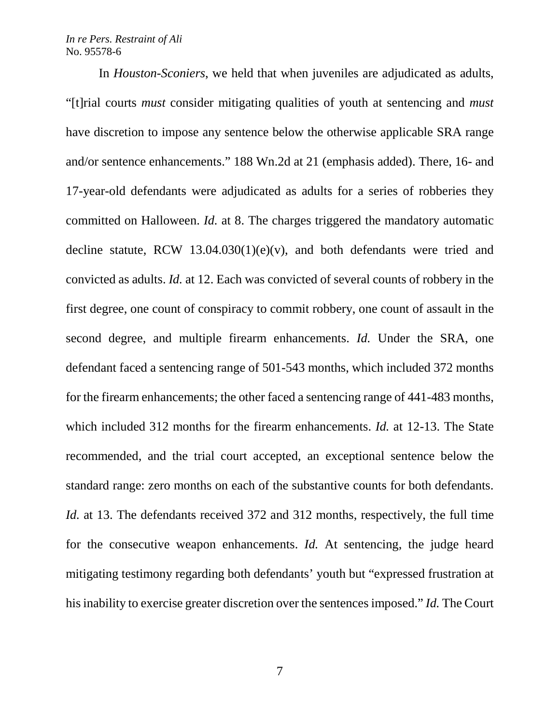In *Houston-Sconiers*, we held that when juveniles are adjudicated as adults, "[t]rial courts *must* consider mitigating qualities of youth at sentencing and *must* have discretion to impose any sentence below the otherwise applicable SRA range and/or sentence enhancements." 188 Wn.2d at 21 (emphasis added). There, 16- and 17-year-old defendants were adjudicated as adults for a series of robberies they committed on Halloween. *Id.* at 8. The charges triggered the mandatory automatic decline statute, RCW  $13.04.030(1)(e)(v)$ , and both defendants were tried and convicted as adults. *Id.* at 12. Each was convicted of several counts of robbery in the first degree, one count of conspiracy to commit robbery, one count of assault in the second degree, and multiple firearm enhancements. *Id.* Under the SRA, one defendant faced a sentencing range of 501-543 months, which included 372 months for the firearm enhancements; the other faced a sentencing range of 441-483 months, which included 312 months for the firearm enhancements. *Id.* at 12-13. The State recommended, and the trial court accepted, an exceptional sentence below the standard range: zero months on each of the substantive counts for both defendants. *Id.* at 13. The defendants received 372 and 312 months, respectively, the full time for the consecutive weapon enhancements. *Id.* At sentencing, the judge heard mitigating testimony regarding both defendants' youth but "expressed frustration at his inability to exercise greater discretion over the sentences imposed." *Id.* The Court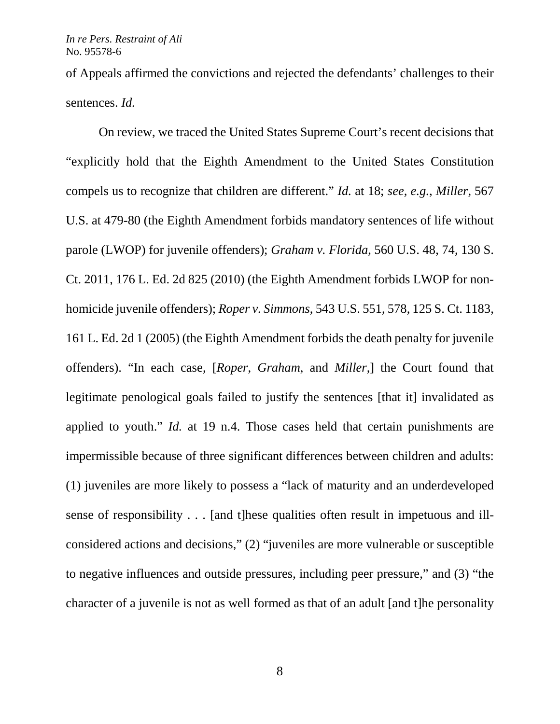of Appeals affirmed the convictions and rejected the defendants' challenges to their sentences. *Id.*

On review, we traced the United States Supreme Court's recent decisions that "explicitly hold that the Eighth Amendment to the United States Constitution compels us to recognize that children are different." *Id.* at 18; *see, e.g.*, *Miller*, 567 U.S. at 479-80 (the Eighth Amendment forbids mandatory sentences of life without parole (LWOP) for juvenile offenders); *Graham v. Florida*, 560 U.S. 48, 74, 130 S. Ct. 2011, 176 L. Ed. 2d 825 (2010) (the Eighth Amendment forbids LWOP for nonhomicide juvenile offenders); *Roper v. Simmons*, 543 U.S. 551, 578, 125 S. Ct. 1183, 161 L. Ed. 2d 1 (2005) (the Eighth Amendment forbids the death penalty for juvenile offenders). "In each case, [*Roper*, *Graham*, and *Miller*,] the Court found that legitimate penological goals failed to justify the sentences [that it] invalidated as applied to youth." *Id.* at 19 n.4. Those cases held that certain punishments are impermissible because of three significant differences between children and adults: (1) juveniles are more likely to possess a "lack of maturity and an underdeveloped sense of responsibility . . . [and t]hese qualities often result in impetuous and illconsidered actions and decisions," (2) "juveniles are more vulnerable or susceptible to negative influences and outside pressures, including peer pressure," and (3) "the character of a juvenile is not as well formed as that of an adult [and t]he personality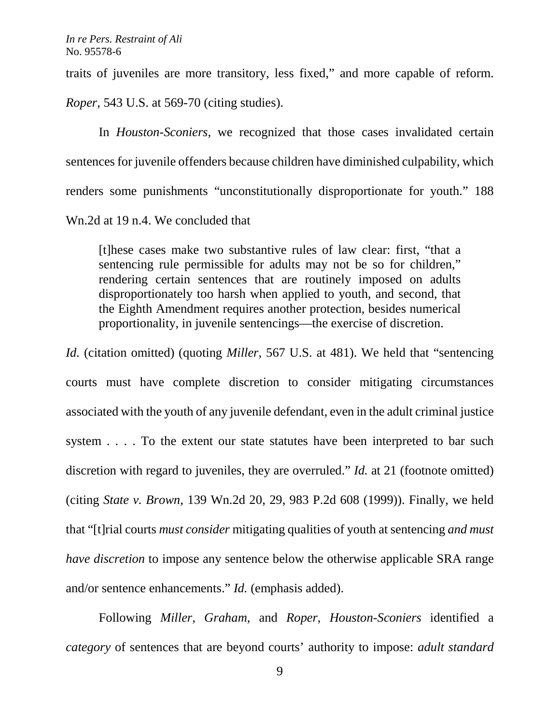traits of juveniles are more transitory, less fixed," and more capable of reform.

*Roper*, 543 U.S. at 569-70 (citing studies).

In *Houston-Sconiers*, we recognized that those cases invalidated certain sentences for juvenile offenders because children have diminished culpability, which renders some punishments "unconstitutionally disproportionate for youth." 188 Wn.2d at 19 n.4. We concluded that

[t]hese cases make two substantive rules of law clear: first, "that a sentencing rule permissible for adults may not be so for children," rendering certain sentences that are routinely imposed on adults disproportionately too harsh when applied to youth, and second, that the Eighth Amendment requires another protection, besides numerical proportionality, in juvenile sentencings—the exercise of discretion.

*Id.* (citation omitted) (quoting *Miller*, 567 U.S. at 481). We held that "sentencing courts must have complete discretion to consider mitigating circumstances associated with the youth of any juvenile defendant, even in the adult criminal justice system . . . . To the extent our state statutes have been interpreted to bar such discretion with regard to juveniles, they are overruled." *Id.* at 21 (footnote omitted) (citing *State v. Brown*, 139 Wn.2d 20, 29, 983 P.2d 608 (1999)). Finally, we held that "[t]rial courts *must consider* mitigating qualities of youth at sentencing *and must have discretion* to impose any sentence below the otherwise applicable SRA range and/or sentence enhancements." *Id.* (emphasis added).

Following *Miller*, *Graham*, and *Roper*, *Houston-Sconiers* identified a *category* of sentences that are beyond courts' authority to impose: *adult standard*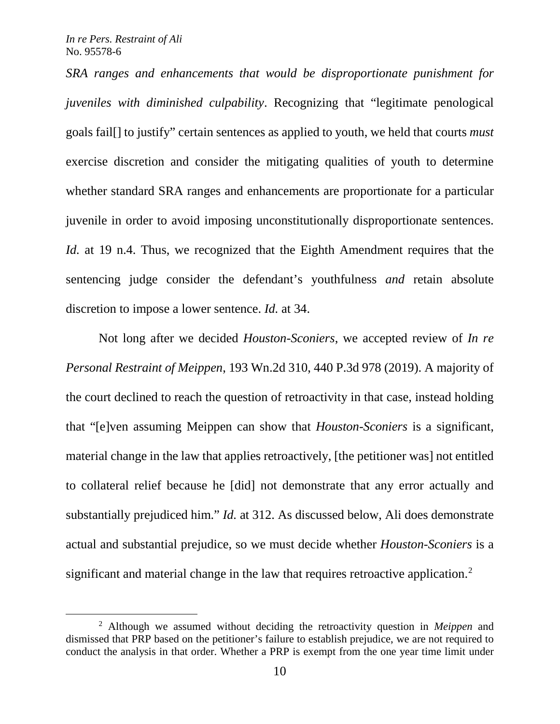*SRA ranges and enhancements that would be disproportionate punishment for juveniles with diminished culpability*. Recognizing that "legitimate penological goals fail[] to justify" certain sentences as applied to youth, we held that courts *must* exercise discretion and consider the mitigating qualities of youth to determine whether standard SRA ranges and enhancements are proportionate for a particular juvenile in order to avoid imposing unconstitutionally disproportionate sentences. *Id.* at 19 n.4. Thus, we recognized that the Eighth Amendment requires that the sentencing judge consider the defendant's youthfulness *and* retain absolute discretion to impose a lower sentence. *Id.* at 34.

Not long after we decided *Houston-Sconiers*, we accepted review of *In re Personal Restraint of Meippen*, 193 Wn.2d 310, 440 P.3d 978 (2019). A majority of the court declined to reach the question of retroactivity in that case, instead holding that "[e]ven assuming Meippen can show that *Houston-Sconiers* is a significant, material change in the law that applies retroactively, [the petitioner was] not entitled to collateral relief because he [did] not demonstrate that any error actually and substantially prejudiced him." *Id.* at 312. As discussed below, Ali does demonstrate actual and substantial prejudice, so we must decide whether *Houston-Sconiers* is a significant and material change in the law that requires retroactive application.<sup>[2](#page-9-0)</sup>

<span id="page-9-0"></span> <sup>2</sup> Although we assumed without deciding the retroactivity question in *Meippen* and dismissed that PRP based on the petitioner's failure to establish prejudice, we are not required to conduct the analysis in that order. Whether a PRP is exempt from the one year time limit under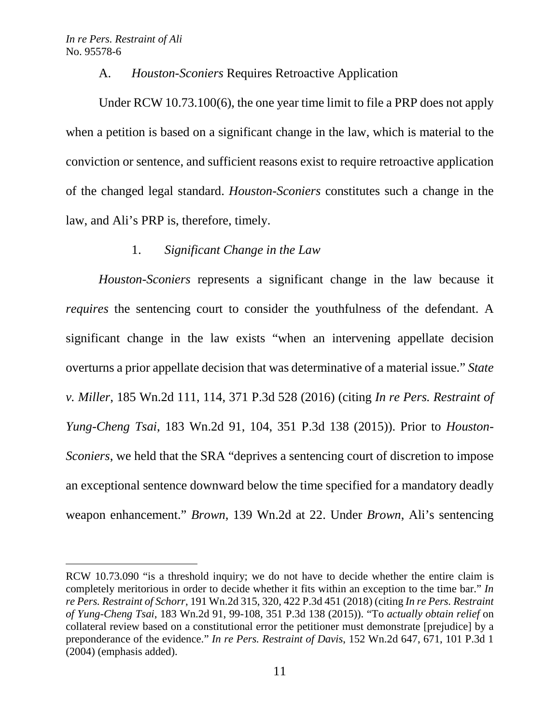$\overline{a}$ 

## A. *Houston-Sconiers* Requires Retroactive Application

Under RCW 10.73.100(6), the one year time limit to file a PRP does not apply when a petition is based on a significant change in the law, which is material to the conviction or sentence, and sufficient reasons exist to require retroactive application of the changed legal standard. *Houston-Sconiers* constitutes such a change in the law, and Ali's PRP is, therefore, timely.

## 1. *Significant Change in the Law*

*Houston-Sconiers* represents a significant change in the law because it *requires* the sentencing court to consider the youthfulness of the defendant. A significant change in the law exists "when an intervening appellate decision overturns a prior appellate decision that was determinative of a material issue." *State v. Miller*, 185 Wn.2d 111, 114, 371 P.3d 528 (2016) (citing *In re Pers. Restraint of Yung-Cheng Tsai*, 183 Wn.2d 91, 104, 351 P.3d 138 (2015)). Prior to *Houston-Sconiers*, we held that the SRA "deprives a sentencing court of discretion to impose an exceptional sentence downward below the time specified for a mandatory deadly weapon enhancement." *Brown*, 139 Wn.2d at 22. Under *Brown*, Ali's sentencing

RCW 10.73.090 "is a threshold inquiry; we do not have to decide whether the entire claim is completely meritorious in order to decide whether it fits within an exception to the time bar." *In re Pers. Restraint of Schorr*, 191 Wn.2d 315, 320, 422 P.3d 451 (2018) (citing *In re Pers. Restraint of Yung-Cheng Tsai*, 183 Wn.2d 91, 99-108, 351 P.3d 138 (2015)). "To *actually obtain relief* on collateral review based on a constitutional error the petitioner must demonstrate [prejudice] by a preponderance of the evidence." *In re Pers. Restraint of Davis*, 152 Wn.2d 647, 671, 101 P.3d 1 (2004) (emphasis added).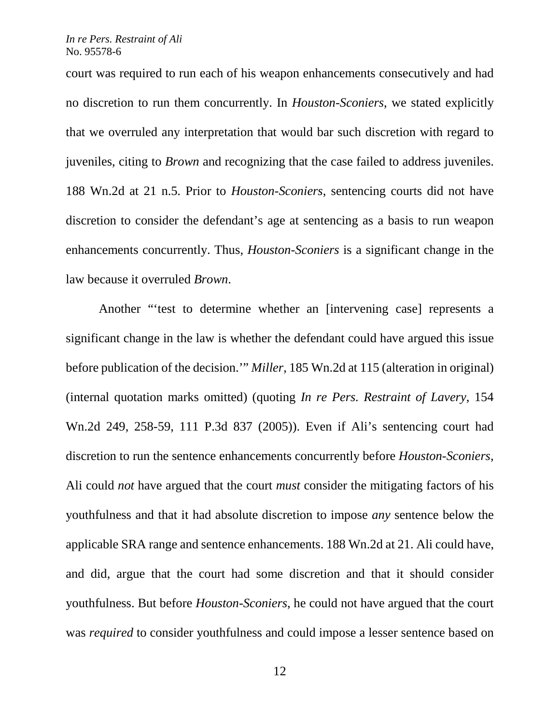court was required to run each of his weapon enhancements consecutively and had no discretion to run them concurrently. In *Houston-Sconiers*, we stated explicitly that we overruled any interpretation that would bar such discretion with regard to juveniles, citing to *Brown* and recognizing that the case failed to address juveniles. 188 Wn.2d at 21 n.5. Prior to *Houston-Sconiers*, sentencing courts did not have discretion to consider the defendant's age at sentencing as a basis to run weapon enhancements concurrently. Thus, *Houston-Sconiers* is a significant change in the law because it overruled *Brown*.

Another "'test to determine whether an [intervening case] represents a significant change in the law is whether the defendant could have argued this issue before publication of the decision.'" *Miller*, 185 Wn.2d at 115 (alteration in original) (internal quotation marks omitted) (quoting *In re Pers. Restraint of Lavery*, 154 Wn.2d 249, 258-59, 111 P.3d 837 (2005)). Even if Ali's sentencing court had discretion to run the sentence enhancements concurrently before *Houston-Sconiers*, Ali could *not* have argued that the court *must* consider the mitigating factors of his youthfulness and that it had absolute discretion to impose *any* sentence below the applicable SRA range and sentence enhancements. 188 Wn.2d at 21. Ali could have, and did, argue that the court had some discretion and that it should consider youthfulness. But before *Houston-Sconiers*, he could not have argued that the court was *required* to consider youthfulness and could impose a lesser sentence based on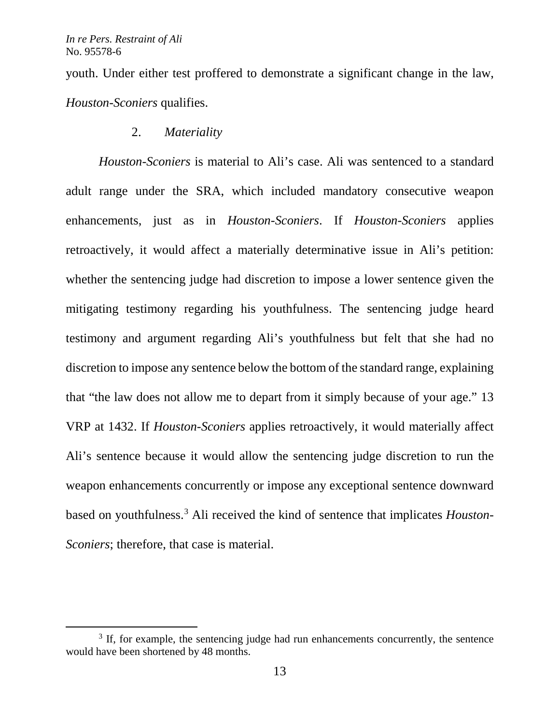youth. Under either test proffered to demonstrate a significant change in the law, *Houston-Sconiers* qualifies.

## 2. *Materiality*

*Houston-Sconiers* is material to Ali's case. Ali was sentenced to a standard adult range under the SRA, which included mandatory consecutive weapon enhancements, just as in *Houston-Sconiers*. If *Houston-Sconiers* applies retroactively, it would affect a materially determinative issue in Ali's petition: whether the sentencing judge had discretion to impose a lower sentence given the mitigating testimony regarding his youthfulness. The sentencing judge heard testimony and argument regarding Ali's youthfulness but felt that she had no discretion to impose any sentence below the bottom of the standard range, explaining that "the law does not allow me to depart from it simply because of your age." 13 VRP at 1432. If *Houston-Sconiers* applies retroactively, it would materially affect Ali's sentence because it would allow the sentencing judge discretion to run the weapon enhancements concurrently or impose any exceptional sentence downward based on youthfulness[.3](#page-12-0) Ali received the kind of sentence that implicates *Houston-Sconiers*; therefore, that case is material.

<span id="page-12-0"></span> $3$  If, for example, the sentencing judge had run enhancements concurrently, the sentence would have been shortened by 48 months.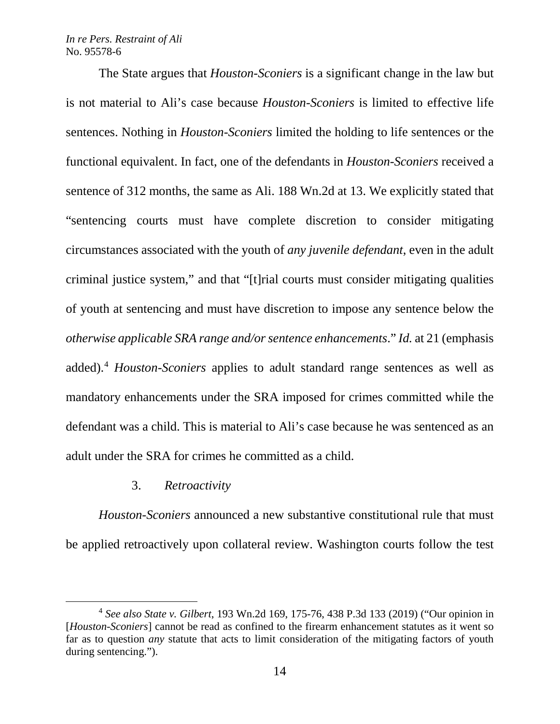The State argues that *Houston-Sconiers* is a significant change in the law but is not material to Ali's case because *Houston-Sconiers* is limited to effective life sentences. Nothing in *Houston-Sconiers* limited the holding to life sentences or the functional equivalent. In fact, one of the defendants in *Houston-Sconiers* received a sentence of 312 months, the same as Ali. 188 Wn.2d at 13. We explicitly stated that "sentencing courts must have complete discretion to consider mitigating circumstances associated with the youth of *any juvenile defendant*, even in the adult criminal justice system," and that "[t]rial courts must consider mitigating qualities of youth at sentencing and must have discretion to impose any sentence below the *otherwise applicable SRA range and/or sentence enhancements*." *Id.* at 21 (emphasis added). [4](#page-13-0) *Houston-Sconiers* applies to adult standard range sentences as well as mandatory enhancements under the SRA imposed for crimes committed while the defendant was a child. This is material to Ali's case because he was sentenced as an adult under the SRA for crimes he committed as a child.

### 3. *Retroactivity*

*Houston-Sconiers* announced a new substantive constitutional rule that must be applied retroactively upon collateral review. Washington courts follow the test

<span id="page-13-0"></span> <sup>4</sup> *See also State v. Gilbert*, 193 Wn.2d 169, 175-76, 438 P.3d 133 (2019) ("Our opinion in [*Houston-Sconiers*] cannot be read as confined to the firearm enhancement statutes as it went so far as to question *any* statute that acts to limit consideration of the mitigating factors of youth during sentencing.").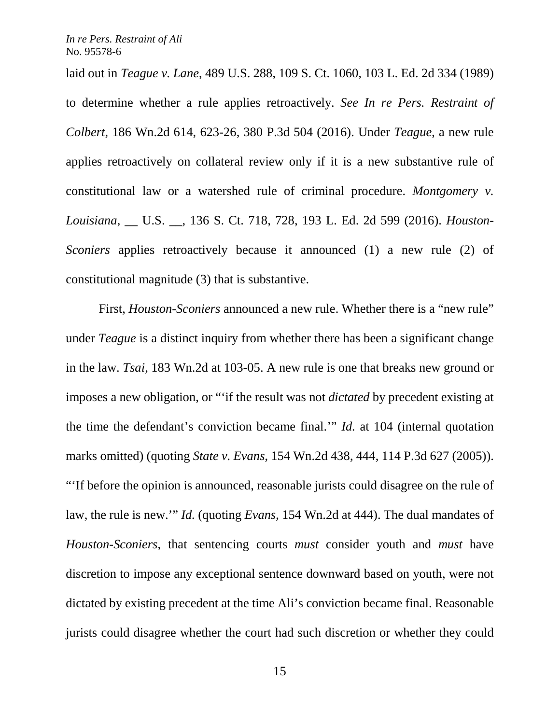laid out in *Teague v. Lane*, 489 U.S. 288, 109 S. Ct. 1060, 103 L. Ed. 2d 334 (1989) to determine whether a rule applies retroactively. *See In re Pers. Restraint of Colbert*, 186 Wn.2d 614, 623-26, 380 P.3d 504 (2016). Under *Teague*, a new rule applies retroactively on collateral review only if it is a new substantive rule of constitutional law or a watershed rule of criminal procedure. *Montgomery v. Louisiana*, \_\_ U.S. \_\_, 136 S. Ct. 718, 728, 193 L. Ed. 2d 599 (2016). *Houston-Sconiers* applies retroactively because it announced (1) a new rule (2) of constitutional magnitude (3) that is substantive.

First, *Houston-Sconiers* announced a new rule. Whether there is a "new rule" under *Teague* is a distinct inquiry from whether there has been a significant change in the law. *Tsai*, 183 Wn.2d at 103-05. A new rule is one that breaks new ground or imposes a new obligation, or "'if the result was not *dictated* by precedent existing at the time the defendant's conviction became final.'" *Id.* at 104 (internal quotation marks omitted) (quoting *State v. Evans*, 154 Wn.2d 438, 444, 114 P.3d 627 (2005)). "'If before the opinion is announced, reasonable jurists could disagree on the rule of law, the rule is new.'" *Id.* (quoting *Evans*, 154 Wn.2d at 444). The dual mandates of *Houston-Sconiers*, that sentencing courts *must* consider youth and *must* have discretion to impose any exceptional sentence downward based on youth, were not dictated by existing precedent at the time Ali's conviction became final. Reasonable jurists could disagree whether the court had such discretion or whether they could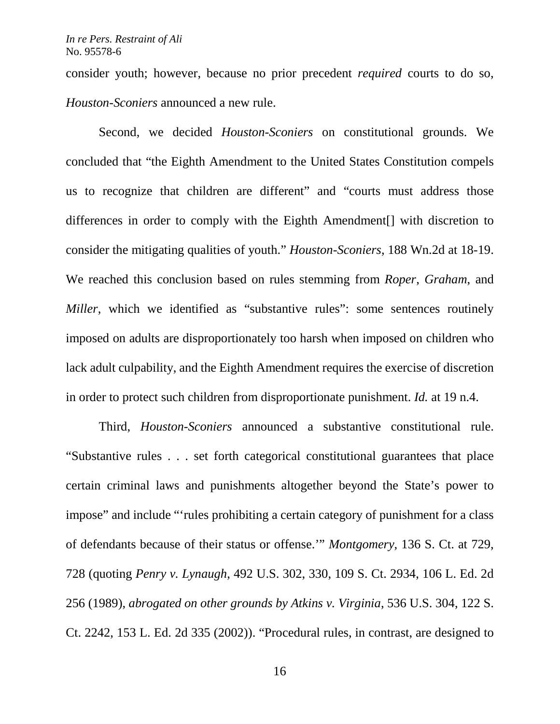consider youth; however, because no prior precedent *required* courts to do so, *Houston-Sconiers* announced a new rule.

Second, we decided *Houston-Sconiers* on constitutional grounds. We concluded that "the Eighth Amendment to the United States Constitution compels us to recognize that children are different" and "courts must address those differences in order to comply with the Eighth Amendment[] with discretion to consider the mitigating qualities of youth." *Houston-Sconiers*, 188 Wn.2d at 18-19. We reached this conclusion based on rules stemming from *Roper*, *Graham*, and *Miller*, which we identified as "substantive rules": some sentences routinely imposed on adults are disproportionately too harsh when imposed on children who lack adult culpability, and the Eighth Amendment requires the exercise of discretion in order to protect such children from disproportionate punishment. *Id.* at 19 n.4.

Third, *Houston-Sconiers* announced a substantive constitutional rule. "Substantive rules . . . set forth categorical constitutional guarantees that place certain criminal laws and punishments altogether beyond the State's power to impose" and include "'rules prohibiting a certain category of punishment for a class of defendants because of their status or offense.'" *Montgomery*, 136 S. Ct. at 729, 728 (quoting *Penry v. Lynaugh*, 492 U.S. 302, 330, 109 S. Ct. 2934, 106 L. Ed. 2d 256 (1989), *abrogated on other grounds by Atkins v. Virginia*, 536 U.S. 304, 122 S. Ct. 2242, 153 L. Ed. 2d 335 (2002)). "Procedural rules, in contrast, are designed to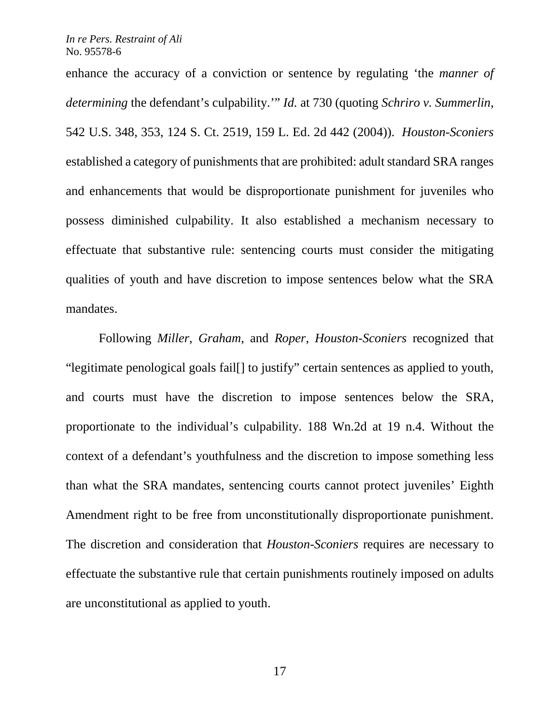enhance the accuracy of a conviction or sentence by regulating 'the *manner of determining* the defendant's culpability.'" *Id.* at 730 (quoting *Schriro v. Summerlin*, 542 U.S. 348, 353, 124 S. Ct. 2519, 159 L. Ed. 2d 442 (2004)). *Houston-Sconiers* established a category of punishments that are prohibited: adult standard SRA ranges and enhancements that would be disproportionate punishment for juveniles who possess diminished culpability. It also established a mechanism necessary to effectuate that substantive rule: sentencing courts must consider the mitigating qualities of youth and have discretion to impose sentences below what the SRA mandates.

Following *Miller*, *Graham*, and *Roper*, *Houston-Sconiers* recognized that "legitimate penological goals fail[] to justify" certain sentences as applied to youth, and courts must have the discretion to impose sentences below the SRA, proportionate to the individual's culpability. 188 Wn.2d at 19 n.4. Without the context of a defendant's youthfulness and the discretion to impose something less than what the SRA mandates, sentencing courts cannot protect juveniles' Eighth Amendment right to be free from unconstitutionally disproportionate punishment. The discretion and consideration that *Houston-Sconiers* requires are necessary to effectuate the substantive rule that certain punishments routinely imposed on adults are unconstitutional as applied to youth.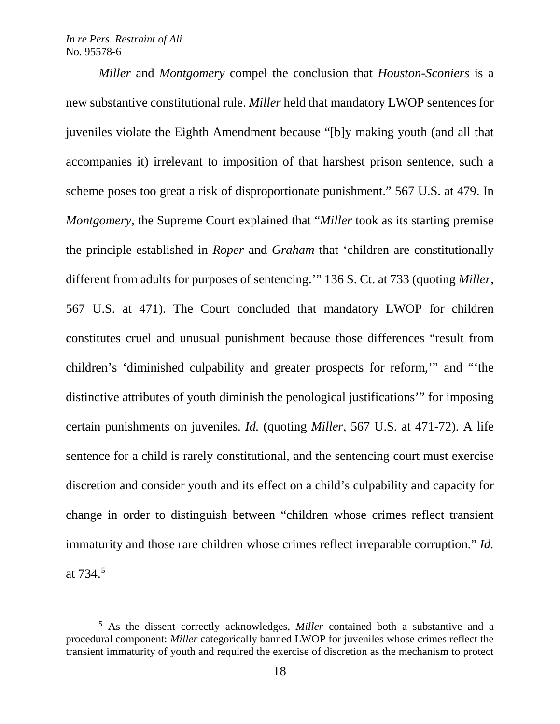*Miller* and *Montgomery* compel the conclusion that *Houston-Sconiers* is a new substantive constitutional rule. *Miller* held that mandatory LWOP sentences for juveniles violate the Eighth Amendment because "[b]y making youth (and all that accompanies it) irrelevant to imposition of that harshest prison sentence, such a scheme poses too great a risk of disproportionate punishment." 567 U.S. at 479. In *Montgomery*, the Supreme Court explained that "*Miller* took as its starting premise the principle established in *Roper* and *Graham* that 'children are constitutionally different from adults for purposes of sentencing.'" 136 S. Ct. at 733 (quoting *Miller*, 567 U.S. at 471). The Court concluded that mandatory LWOP for children constitutes cruel and unusual punishment because those differences "result from children's 'diminished culpability and greater prospects for reform,'" and "'the distinctive attributes of youth diminish the penological justifications'" for imposing certain punishments on juveniles. *Id.* (quoting *Miller*, 567 U.S. at 471-72). A life sentence for a child is rarely constitutional, and the sentencing court must exercise discretion and consider youth and its effect on a child's culpability and capacity for change in order to distinguish between "children whose crimes reflect transient immaturity and those rare children whose crimes reflect irreparable corruption." *Id.*  at 734.[5](#page-17-0)

<span id="page-17-0"></span> <sup>5</sup> As the dissent correctly acknowledges, *Miller* contained both a substantive and a procedural component: *Miller* categorically banned LWOP for juveniles whose crimes reflect the transient immaturity of youth and required the exercise of discretion as the mechanism to protect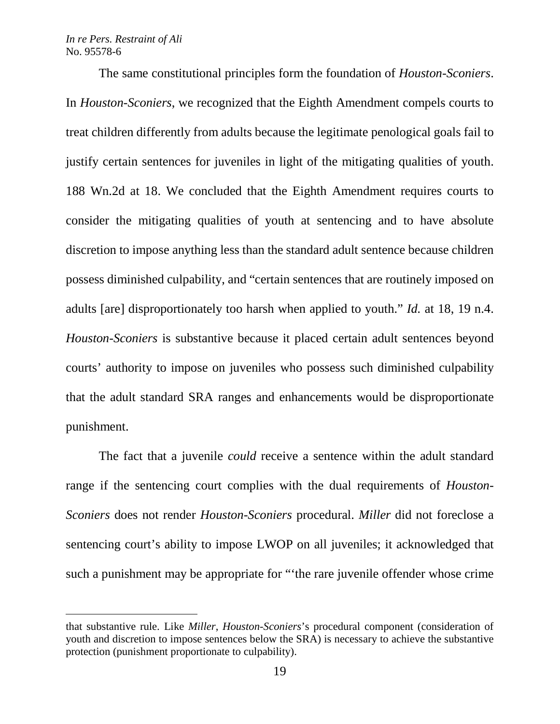$\overline{a}$ 

The same constitutional principles form the foundation of *Houston-Sconiers*. In *Houston-Sconiers*, we recognized that the Eighth Amendment compels courts to treat children differently from adults because the legitimate penological goals fail to justify certain sentences for juveniles in light of the mitigating qualities of youth. 188 Wn.2d at 18. We concluded that the Eighth Amendment requires courts to consider the mitigating qualities of youth at sentencing and to have absolute discretion to impose anything less than the standard adult sentence because children possess diminished culpability, and "certain sentences that are routinely imposed on adults [are] disproportionately too harsh when applied to youth." *Id.* at 18, 19 n.4. *Houston-Sconiers* is substantive because it placed certain adult sentences beyond courts' authority to impose on juveniles who possess such diminished culpability that the adult standard SRA ranges and enhancements would be disproportionate punishment.

The fact that a juvenile *could* receive a sentence within the adult standard range if the sentencing court complies with the dual requirements of *Houston-Sconiers* does not render *Houston-Sconiers* procedural. *Miller* did not foreclose a sentencing court's ability to impose LWOP on all juveniles; it acknowledged that such a punishment may be appropriate for "'the rare juvenile offender whose crime

that substantive rule. Like *Miller*, *Houston-Sconiers*'s procedural component (consideration of youth and discretion to impose sentences below the SRA) is necessary to achieve the substantive protection (punishment proportionate to culpability).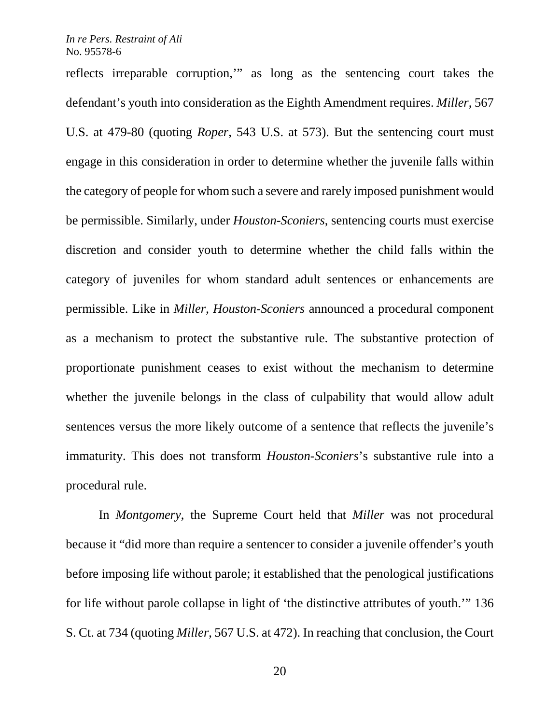reflects irreparable corruption,'" as long as the sentencing court takes the defendant's youth into consideration as the Eighth Amendment requires. *Miller*, 567 U.S. at 479-80 (quoting *Roper*, 543 U.S. at 573). But the sentencing court must engage in this consideration in order to determine whether the juvenile falls within the category of people for whom such a severe and rarely imposed punishment would be permissible. Similarly, under *Houston-Sconiers*, sentencing courts must exercise discretion and consider youth to determine whether the child falls within the category of juveniles for whom standard adult sentences or enhancements are permissible. Like in *Miller*, *Houston-Sconiers* announced a procedural component as a mechanism to protect the substantive rule. The substantive protection of proportionate punishment ceases to exist without the mechanism to determine whether the juvenile belongs in the class of culpability that would allow adult sentences versus the more likely outcome of a sentence that reflects the juvenile's immaturity. This does not transform *Houston-Sconiers*'s substantive rule into a procedural rule.

In *Montgomery*, the Supreme Court held that *Miller* was not procedural because it "did more than require a sentencer to consider a juvenile offender's youth before imposing life without parole; it established that the penological justifications for life without parole collapse in light of 'the distinctive attributes of youth.'" 136 S. Ct. at 734 (quoting *Miller*, 567 U.S. at 472). In reaching that conclusion, the Court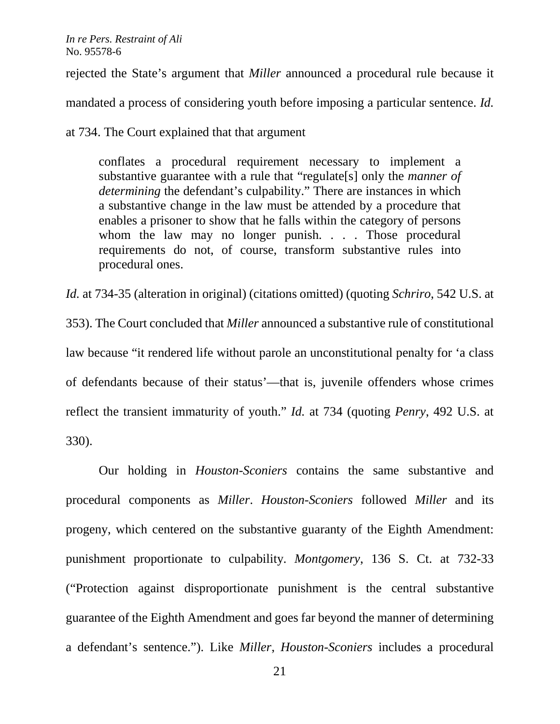rejected the State's argument that *Miller* announced a procedural rule because it

mandated a process of considering youth before imposing a particular sentence. *Id.* 

at 734. The Court explained that that argument

conflates a procedural requirement necessary to implement a substantive guarantee with a rule that "regulate[s] only the *manner of determining* the defendant's culpability." There are instances in which a substantive change in the law must be attended by a procedure that enables a prisoner to show that he falls within the category of persons whom the law may no longer punish. . . . Those procedural requirements do not, of course, transform substantive rules into procedural ones.

*Id.* at 734-35 (alteration in original) (citations omitted) (quoting *Schriro*, 542 U.S. at 353). The Court concluded that *Miller* announced a substantive rule of constitutional law because "it rendered life without parole an unconstitutional penalty for 'a class of defendants because of their status'—that is, juvenile offenders whose crimes reflect the transient immaturity of youth." *Id.* at 734 (quoting *Penry*, 492 U.S. at 330).

Our holding in *Houston-Sconiers* contains the same substantive and procedural components as *Miller*. *Houston-Sconiers* followed *Miller* and its progeny, which centered on the substantive guaranty of the Eighth Amendment: punishment proportionate to culpability. *Montgomery*, 136 S. Ct. at 732-33 ("Protection against disproportionate punishment is the central substantive guarantee of the Eighth Amendment and goes far beyond the manner of determining a defendant's sentence."). Like *Miller*, *Houston-Sconiers* includes a procedural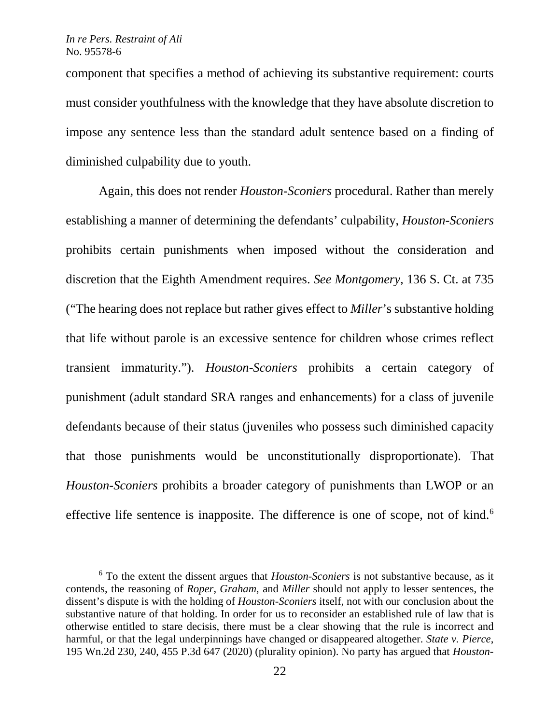component that specifies a method of achieving its substantive requirement: courts must consider youthfulness with the knowledge that they have absolute discretion to impose any sentence less than the standard adult sentence based on a finding of diminished culpability due to youth.

Again, this does not render *Houston-Sconiers* procedural. Rather than merely establishing a manner of determining the defendants' culpability, *Houston-Sconiers* prohibits certain punishments when imposed without the consideration and discretion that the Eighth Amendment requires. *See Montgomery*, 136 S. Ct. at 735 ("The hearing does not replace but rather gives effect to *Miller*'s substantive holding that life without parole is an excessive sentence for children whose crimes reflect transient immaturity."). *Houston-Sconiers* prohibits a certain category of punishment (adult standard SRA ranges and enhancements) for a class of juvenile defendants because of their status (juveniles who possess such diminished capacity that those punishments would be unconstitutionally disproportionate). That *Houston-Sconiers* prohibits a broader category of punishments than LWOP or an effective life sentence is inapposite. The difference is one of scope, not of kind.<sup>6</sup>

<span id="page-21-0"></span> <sup>6</sup> To the extent the dissent argues that *Houston-Sconiers* is not substantive because, as it contends, the reasoning of *Roper*, *Graham*, and *Miller* should not apply to lesser sentences, the dissent's dispute is with the holding of *Houston-Sconiers* itself, not with our conclusion about the substantive nature of that holding. In order for us to reconsider an established rule of law that is otherwise entitled to stare decisis, there must be a clear showing that the rule is incorrect and harmful, or that the legal underpinnings have changed or disappeared altogether. *State v. Pierce*, 195 Wn.2d 230, 240, 455 P.3d 647 (2020) (plurality opinion). No party has argued that *Houston-*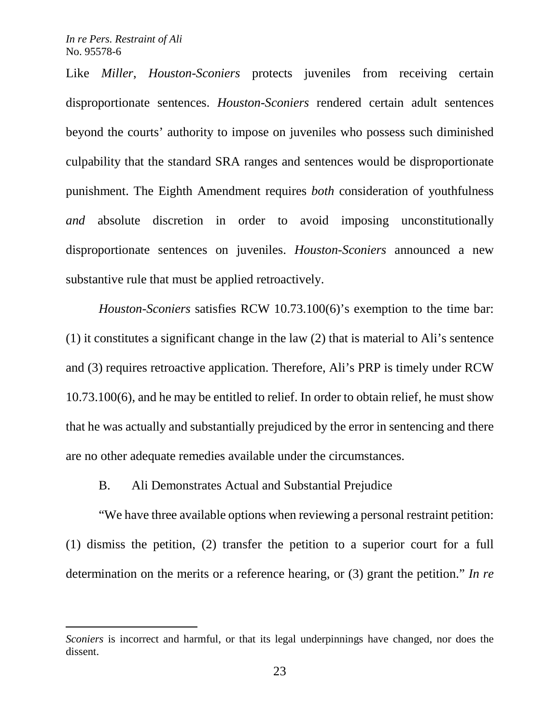$\overline{a}$ 

Like *Miller*, *Houston-Sconiers* protects juveniles from receiving certain disproportionate sentences. *Houston-Sconiers* rendered certain adult sentences beyond the courts' authority to impose on juveniles who possess such diminished culpability that the standard SRA ranges and sentences would be disproportionate punishment. The Eighth Amendment requires *both* consideration of youthfulness *and* absolute discretion in order to avoid imposing unconstitutionally disproportionate sentences on juveniles. *Houston-Sconiers* announced a new substantive rule that must be applied retroactively.

*Houston-Sconiers* satisfies RCW 10.73.100(6)'s exemption to the time bar: (1) it constitutes a significant change in the law (2) that is material to Ali's sentence and (3) requires retroactive application. Therefore, Ali's PRP is timely under RCW 10.73.100(6), and he may be entitled to relief. In order to obtain relief, he must show that he was actually and substantially prejudiced by the error in sentencing and there are no other adequate remedies available under the circumstances.

B. Ali Demonstrates Actual and Substantial Prejudice

"We have three available options when reviewing a personal restraint petition: (1) dismiss the petition, (2) transfer the petition to a superior court for a full determination on the merits or a reference hearing, or (3) grant the petition." *In re* 

*Sconiers* is incorrect and harmful, or that its legal underpinnings have changed, nor does the dissent.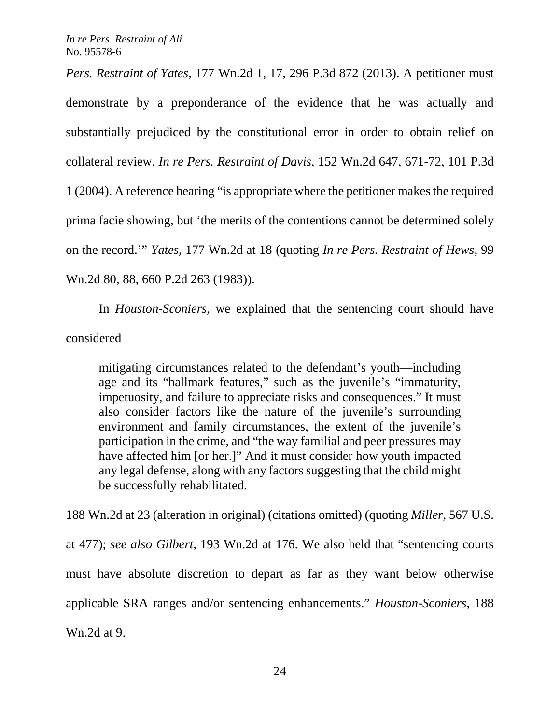*Pers. Restraint of Yates*, 177 Wn.2d 1, 17, 296 P.3d 872 (2013). A petitioner must demonstrate by a preponderance of the evidence that he was actually and substantially prejudiced by the constitutional error in order to obtain relief on collateral review. *In re Pers. Restraint of Davis*, 152 Wn.2d 647, 671-72, 101 P.3d 1 (2004). A reference hearing "is appropriate where the petitioner makes the required prima facie showing, but 'the merits of the contentions cannot be determined solely on the record.'" *Yates*, 177 Wn.2d at 18 (quoting *In re Pers. Restraint of Hews*, 99 Wn.2d 80, 88, 660 P.2d 263 (1983)).

In *Houston-Sconiers*, we explained that the sentencing court should have considered

mitigating circumstances related to the defendant's youth—including age and its "hallmark features," such as the juvenile's "immaturity, impetuosity, and failure to appreciate risks and consequences." It must also consider factors like the nature of the juvenile's surrounding environment and family circumstances, the extent of the juvenile's participation in the crime, and "the way familial and peer pressures may have affected him [or her.]" And it must consider how youth impacted any legal defense, along with any factors suggesting that the child might be successfully rehabilitated.

188 Wn.2d at 23 (alteration in original) (citations omitted) (quoting *Miller*, 567 U.S. at 477); *see also Gilbert*, 193 Wn.2d at 176. We also held that "sentencing courts must have absolute discretion to depart as far as they want below otherwise applicable SRA ranges and/or sentencing enhancements." *Houston-Sconiers*, 188 Wn.2d at 9.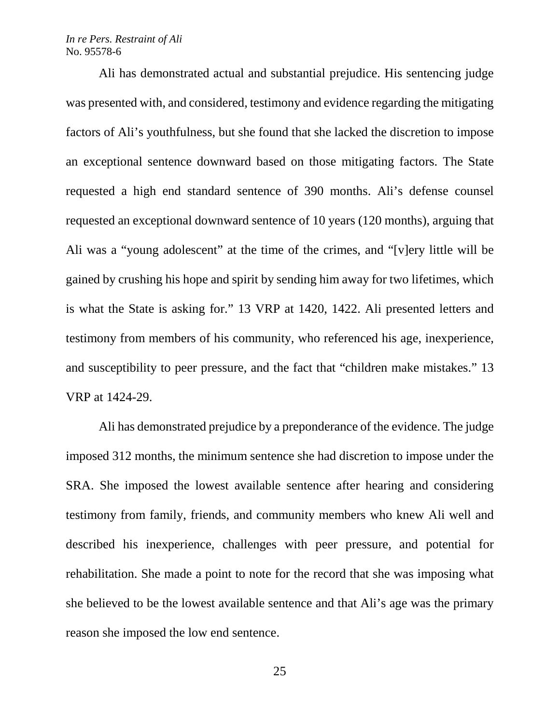Ali has demonstrated actual and substantial prejudice. His sentencing judge was presented with, and considered, testimony and evidence regarding the mitigating factors of Ali's youthfulness, but she found that she lacked the discretion to impose an exceptional sentence downward based on those mitigating factors. The State requested a high end standard sentence of 390 months. Ali's defense counsel requested an exceptional downward sentence of 10 years (120 months), arguing that Ali was a "young adolescent" at the time of the crimes, and "[v]ery little will be gained by crushing his hope and spirit by sending him away for two lifetimes, which is what the State is asking for." 13 VRP at 1420, 1422. Ali presented letters and testimony from members of his community, who referenced his age, inexperience, and susceptibility to peer pressure, and the fact that "children make mistakes." 13 VRP at 1424-29.

Ali has demonstrated prejudice by a preponderance of the evidence. The judge imposed 312 months, the minimum sentence she had discretion to impose under the SRA. She imposed the lowest available sentence after hearing and considering testimony from family, friends, and community members who knew Ali well and described his inexperience, challenges with peer pressure, and potential for rehabilitation. She made a point to note for the record that she was imposing what she believed to be the lowest available sentence and that Ali's age was the primary reason she imposed the low end sentence.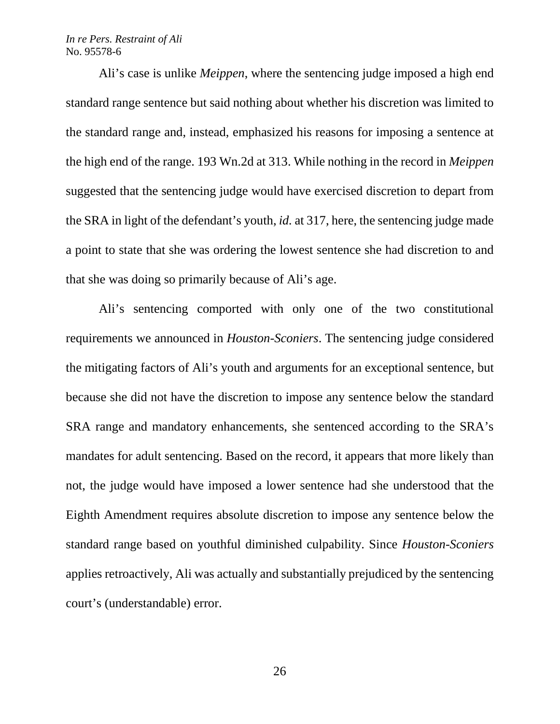Ali's case is unlike *Meippen*, where the sentencing judge imposed a high end standard range sentence but said nothing about whether his discretion was limited to the standard range and, instead, emphasized his reasons for imposing a sentence at the high end of the range. 193 Wn.2d at 313. While nothing in the record in *Meippen* suggested that the sentencing judge would have exercised discretion to depart from the SRA in light of the defendant's youth, *id.* at 317, here, the sentencing judge made a point to state that she was ordering the lowest sentence she had discretion to and that she was doing so primarily because of Ali's age.

Ali's sentencing comported with only one of the two constitutional requirements we announced in *Houston-Sconiers*. The sentencing judge considered the mitigating factors of Ali's youth and arguments for an exceptional sentence, but because she did not have the discretion to impose any sentence below the standard SRA range and mandatory enhancements, she sentenced according to the SRA's mandates for adult sentencing. Based on the record, it appears that more likely than not, the judge would have imposed a lower sentence had she understood that the Eighth Amendment requires absolute discretion to impose any sentence below the standard range based on youthful diminished culpability. Since *Houston-Sconiers* applies retroactively, Ali was actually and substantially prejudiced by the sentencing court's (understandable) error.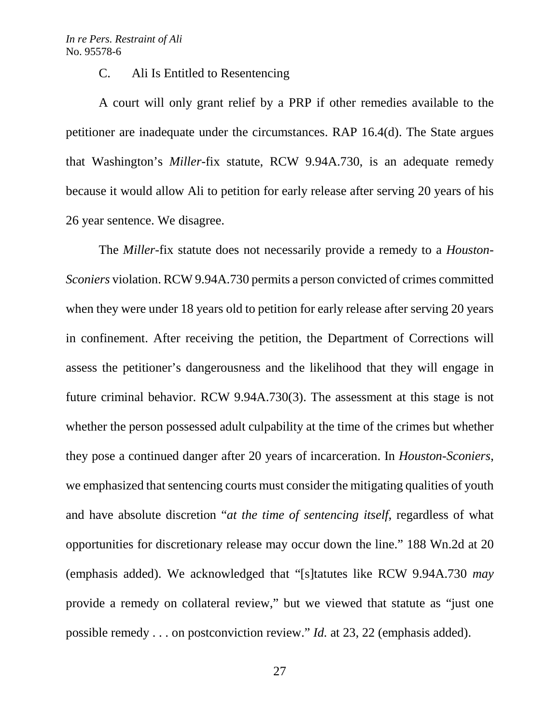C. Ali Is Entitled to Resentencing

A court will only grant relief by a PRP if other remedies available to the petitioner are inadequate under the circumstances. RAP 16.4(d). The State argues that Washington's *Miller*-fix statute, RCW 9.94A.730, is an adequate remedy because it would allow Ali to petition for early release after serving 20 years of his 26 year sentence. We disagree.

The *Miller*-fix statute does not necessarily provide a remedy to a *Houston-Sconiers* violation. RCW 9.94A.730 permits a person convicted of crimes committed when they were under 18 years old to petition for early release after serving 20 years in confinement. After receiving the petition, the Department of Corrections will assess the petitioner's dangerousness and the likelihood that they will engage in future criminal behavior. RCW 9.94A.730(3). The assessment at this stage is not whether the person possessed adult culpability at the time of the crimes but whether they pose a continued danger after 20 years of incarceration. In *Houston-Sconiers*, we emphasized that sentencing courts must consider the mitigating qualities of youth and have absolute discretion "*at the time of sentencing itself*, regardless of what opportunities for discretionary release may occur down the line." 188 Wn.2d at 20 (emphasis added). We acknowledged that "[s]tatutes like RCW 9.94A.730 *may* provide a remedy on collateral review," but we viewed that statute as "just one possible remedy . . . on postconviction review." *Id.* at 23, 22 (emphasis added).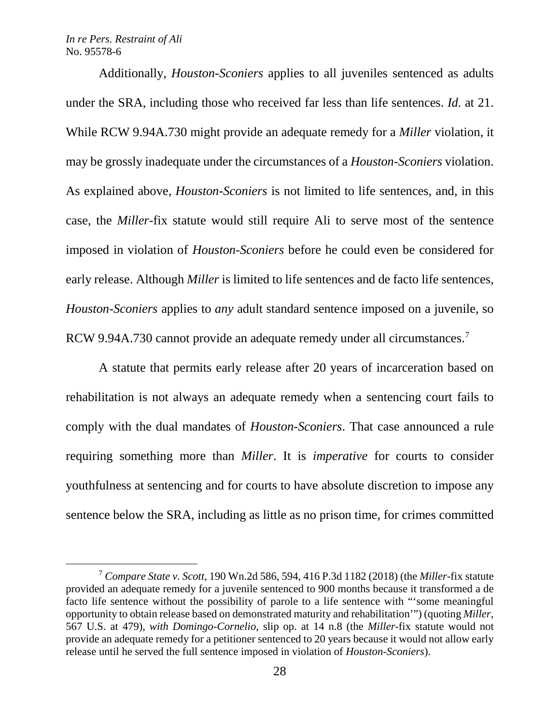Additionally, *Houston-Sconiers* applies to all juveniles sentenced as adults under the SRA, including those who received far less than life sentences. *Id.* at 21. While RCW 9.94A.730 might provide an adequate remedy for a *Miller* violation, it may be grossly inadequate under the circumstances of a *Houston-Sconiers* violation. As explained above, *Houston-Sconiers* is not limited to life sentences, and, in this case, the *Miller*-fix statute would still require Ali to serve most of the sentence imposed in violation of *Houston-Sconiers* before he could even be considered for early release. Although *Miller* is limited to life sentences and de facto life sentences, *Houston-Sconiers* applies to *any* adult standard sentence imposed on a juvenile, so RCW 9.94A.[7](#page-27-0)30 cannot provide an adequate remedy under all circumstances.<sup>7</sup>

A statute that permits early release after 20 years of incarceration based on rehabilitation is not always an adequate remedy when a sentencing court fails to comply with the dual mandates of *Houston-Sconiers*. That case announced a rule requiring something more than *Miller*. It is *imperative* for courts to consider youthfulness at sentencing and for courts to have absolute discretion to impose any sentence below the SRA, including as little as no prison time, for crimes committed

<span id="page-27-0"></span> <sup>7</sup> *Compare State v. Scott*, 190 Wn.2d 586, 594, 416 P.3d 1182 (2018) (the *Miller*-fix statute provided an adequate remedy for a juvenile sentenced to 900 months because it transformed a de facto life sentence without the possibility of parole to a life sentence with "'some meaningful opportunity to obtain release based on demonstrated maturity and rehabilitation'") (quoting *Miller*, 567 U.S. at 479), *with Domingo-Cornelio*, slip op. at 14 n.8 (the *Miller*-fix statute would not provide an adequate remedy for a petitioner sentenced to 20 years because it would not allow early release until he served the full sentence imposed in violation of *Houston-Sconiers*).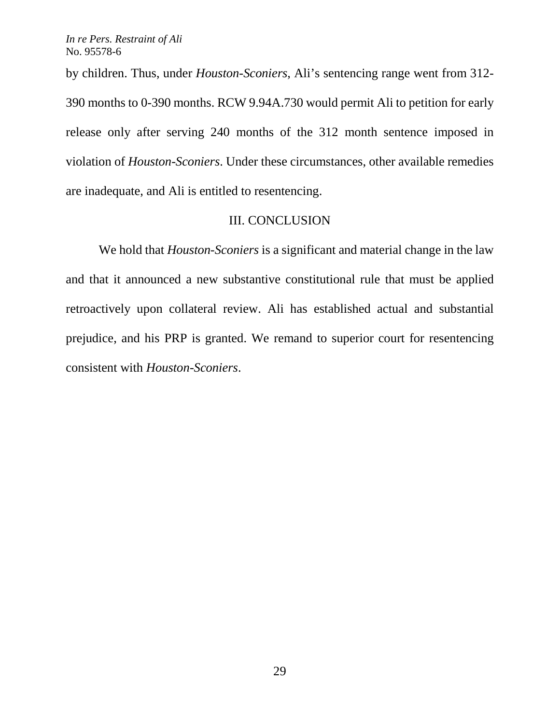by children. Thus, under *Houston-Sconiers*, Ali's sentencing range went from 312- 390 months to 0-390 months. RCW 9.94A.730 would permit Ali to petition for early release only after serving 240 months of the 312 month sentence imposed in violation of *Houston-Sconiers*. Under these circumstances, other available remedies are inadequate, and Ali is entitled to resentencing.

## III. CONCLUSION

We hold that *Houston-Sconiers* is a significant and material change in the law and that it announced a new substantive constitutional rule that must be applied retroactively upon collateral review. Ali has established actual and substantial prejudice, and his PRP is granted. We remand to superior court for resentencing consistent with *Houston-Sconiers*.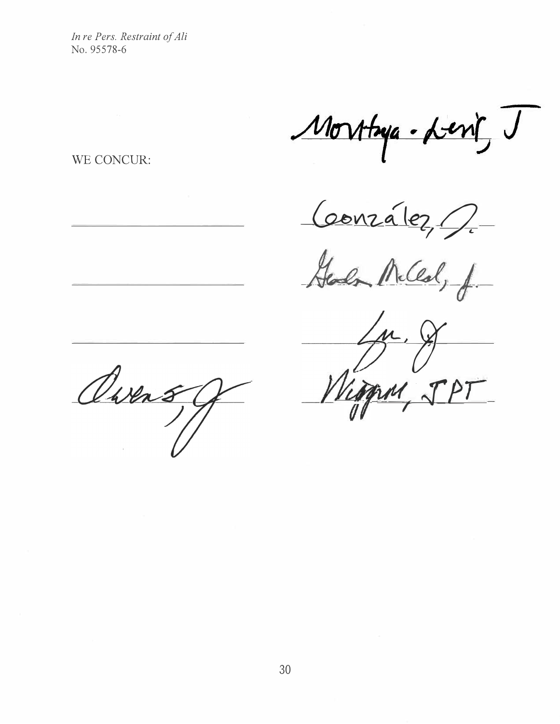Morthya. Leng J

WE CONCUR:

 $60012a1e2$ 

*\_kJJJ�W;-f.-*

 $\frac{1}{\sqrt{2}}$ Viogram JPT

Dwens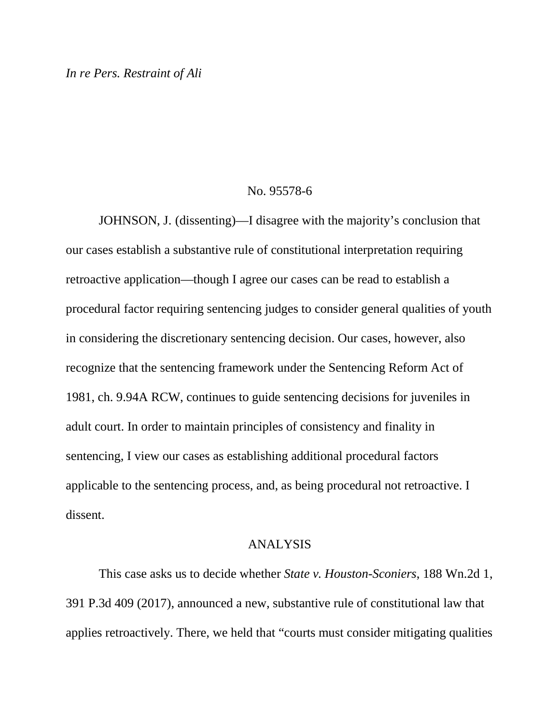## No. 95578-6

JOHNSON, J. (dissenting)—I disagree with the majority's conclusion that our cases establish a substantive rule of constitutional interpretation requiring retroactive application—though I agree our cases can be read to establish a procedural factor requiring sentencing judges to consider general qualities of youth in considering the discretionary sentencing decision. Our cases, however, also recognize that the sentencing framework under the Sentencing Reform Act of 1981, ch. 9.94A RCW, continues to guide sentencing decisions for juveniles in adult court. In order to maintain principles of consistency and finality in sentencing, I view our cases as establishing additional procedural factors applicable to the sentencing process, and, as being procedural not retroactive. I dissent.

## ANALYSIS

This case asks us to decide whether *State v. Houston-Sconiers*, 188 Wn.2d 1, 391 P.3d 409 (2017), announced a new, substantive rule of constitutional law that applies retroactively. There, we held that "courts must consider mitigating qualities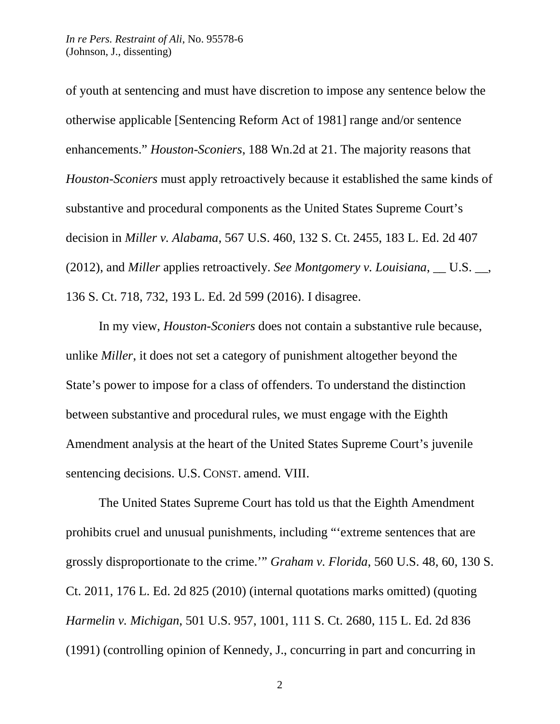of youth at sentencing and must have discretion to impose any sentence below the otherwise applicable [Sentencing Reform Act of 1981] range and/or sentence enhancements." *Houston-Sconiers*, 188 Wn.2d at 21. The majority reasons that *Houston-Sconiers* must apply retroactively because it established the same kinds of substantive and procedural components as the United States Supreme Court's decision in *Miller v. Alabama*, 567 U.S. 460, 132 S. Ct. 2455, 183 L. Ed. 2d 407 (2012), and *Miller* applies retroactively. *See Montgomery v. Louisiana*, \_\_ U.S. \_\_, 136 S. Ct. 718, 732, 193 L. Ed. 2d 599 (2016). I disagree.

In my view, *Houston-Sconiers* does not contain a substantive rule because, unlike *Miller*, it does not set a category of punishment altogether beyond the State's power to impose for a class of offenders. To understand the distinction between substantive and procedural rules, we must engage with the Eighth Amendment analysis at the heart of the United States Supreme Court's juvenile sentencing decisions. U.S. CONST. amend. VIII.

The United States Supreme Court has told us that the Eighth Amendment prohibits cruel and unusual punishments, including "'extreme sentences that are grossly disproportionate to the crime.'" *Graham v. Florida*, 560 U.S. 48, 60, 130 S. Ct. 2011, 176 L. Ed. 2d 825 (2010) (internal quotations marks omitted) (quoting *Harmelin v. Michigan*, 501 U.S. 957, 1001, 111 S. Ct. 2680, 115 L. Ed. 2d 836 (1991) (controlling opinion of Kennedy, J., concurring in part and concurring in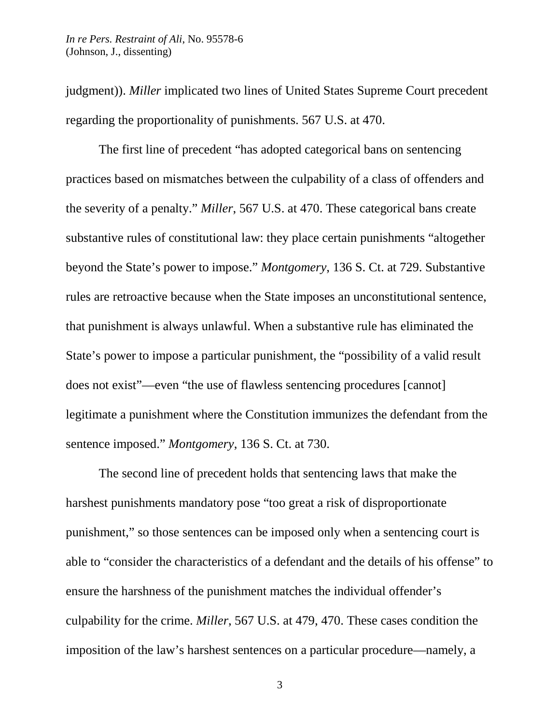judgment)). *Miller* implicated two lines of United States Supreme Court precedent regarding the proportionality of punishments. 567 U.S. at 470.

The first line of precedent "has adopted categorical bans on sentencing practices based on mismatches between the culpability of a class of offenders and the severity of a penalty." *Miller*, 567 U.S. at 470. These categorical bans create substantive rules of constitutional law: they place certain punishments "altogether beyond the State's power to impose." *Montgomery*, 136 S. Ct. at 729. Substantive rules are retroactive because when the State imposes an unconstitutional sentence, that punishment is always unlawful. When a substantive rule has eliminated the State's power to impose a particular punishment, the "possibility of a valid result does not exist"—even "the use of flawless sentencing procedures [cannot] legitimate a punishment where the Constitution immunizes the defendant from the sentence imposed." *Montgomery*, 136 S. Ct. at 730.

The second line of precedent holds that sentencing laws that make the harshest punishments mandatory pose "too great a risk of disproportionate punishment," so those sentences can be imposed only when a sentencing court is able to "consider the characteristics of a defendant and the details of his offense" to ensure the harshness of the punishment matches the individual offender's culpability for the crime. *Miller*, 567 U.S. at 479, 470. These cases condition the imposition of the law's harshest sentences on a particular procedure—namely, a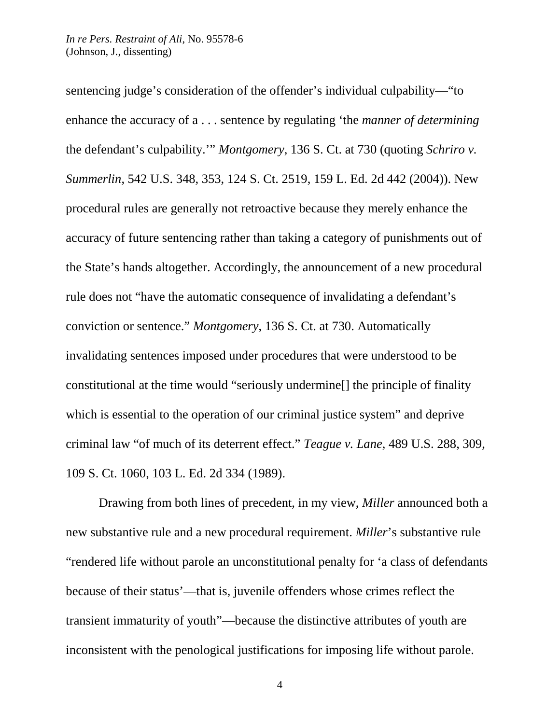sentencing judge's consideration of the offender's individual culpability—"to enhance the accuracy of a . . . sentence by regulating 'the *manner of determining* the defendant's culpability.'" *Montgomery*, 136 S. Ct. at 730 (quoting *Schriro v. Summerlin*, 542 U.S. 348, 353, 124 S. Ct. 2519, 159 L. Ed. 2d 442 (2004)). New procedural rules are generally not retroactive because they merely enhance the accuracy of future sentencing rather than taking a category of punishments out of the State's hands altogether. Accordingly, the announcement of a new procedural rule does not "have the automatic consequence of invalidating a defendant's conviction or sentence." *Montgomery*, 136 S. Ct. at 730. Automatically invalidating sentences imposed under procedures that were understood to be constitutional at the time would "seriously undermine[] the principle of finality which is essential to the operation of our criminal justice system" and deprive criminal law "of much of its deterrent effect." *Teague v. Lane*, 489 U.S. 288, 309, 109 S. Ct. 1060, 103 L. Ed. 2d 334 (1989).

Drawing from both lines of precedent, in my view, *Miller* announced both a new substantive rule and a new procedural requirement. *Miller*'s substantive rule "rendered life without parole an unconstitutional penalty for 'a class of defendants because of their status'—that is, juvenile offenders whose crimes reflect the transient immaturity of youth"—because the distinctive attributes of youth are inconsistent with the penological justifications for imposing life without parole.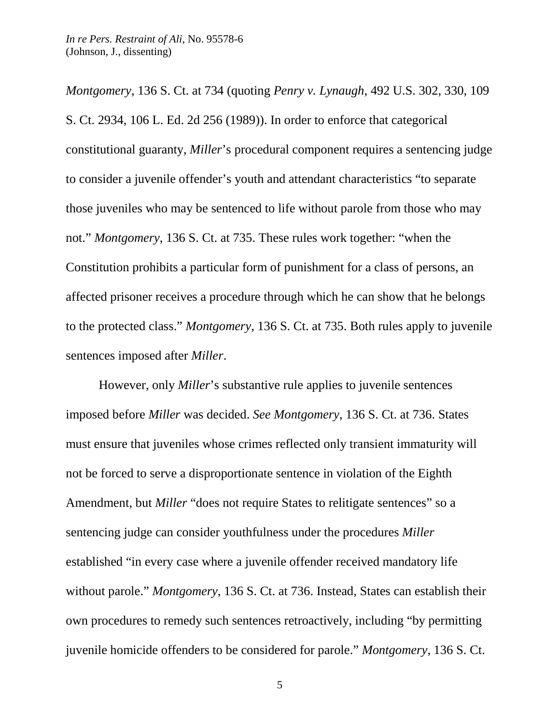*Montgomery*, 136 S. Ct. at 734 (quoting *Penry v. Lynaugh*, 492 U.S. 302, 330, 109 S. Ct. 2934, 106 L. Ed. 2d 256 (1989)). In order to enforce that categorical constitutional guaranty, *Miller*'s procedural component requires a sentencing judge to consider a juvenile offender's youth and attendant characteristics "to separate those juveniles who may be sentenced to life without parole from those who may not." *Montgomery*, 136 S. Ct. at 735. These rules work together: "when the Constitution prohibits a particular form of punishment for a class of persons, an affected prisoner receives a procedure through which he can show that he belongs to the protected class." *Montgomery*, 136 S. Ct. at 735. Both rules apply to juvenile sentences imposed after *Miller*.

However, only *Miller*'s substantive rule applies to juvenile sentences imposed before *Miller* was decided. *See Montgomery*, 136 S. Ct. at 736. States must ensure that juveniles whose crimes reflected only transient immaturity will not be forced to serve a disproportionate sentence in violation of the Eighth Amendment, but *Miller* "does not require States to relitigate sentences" so a sentencing judge can consider youthfulness under the procedures *Miller*  established "in every case where a juvenile offender received mandatory life without parole." *Montgomery*, 136 S. Ct. at 736. Instead, States can establish their own procedures to remedy such sentences retroactively, including "by permitting juvenile homicide offenders to be considered for parole." *Montgomery*, 136 S. Ct.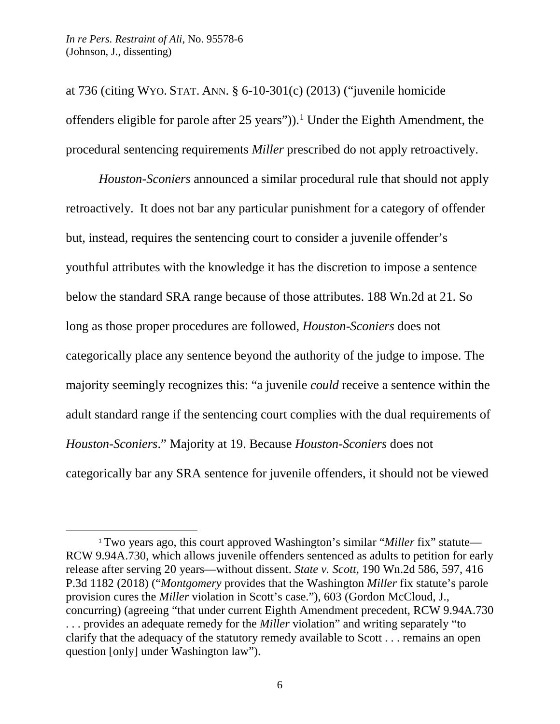$\overline{a}$ 

at 736 (citing WYO. STAT. ANN. § 6-10-301(c) (2013) ("juvenile homicide offenders eligible for parole after  $25$  years")).<sup>[1](#page-35-0)</sup> Under the Eighth Amendment, the procedural sentencing requirements *Miller* prescribed do not apply retroactively.

*Houston-Sconiers* announced a similar procedural rule that should not apply retroactively. It does not bar any particular punishment for a category of offender but, instead, requires the sentencing court to consider a juvenile offender's youthful attributes with the knowledge it has the discretion to impose a sentence below the standard SRA range because of those attributes. 188 Wn.2d at 21. So long as those proper procedures are followed, *Houston-Sconiers* does not categorically place any sentence beyond the authority of the judge to impose. The majority seemingly recognizes this: "a juvenile *could* receive a sentence within the adult standard range if the sentencing court complies with the dual requirements of *Houston-Sconiers*." Majority at 19. Because *Houston-Sconiers* does not categorically bar any SRA sentence for juvenile offenders, it should not be viewed

<span id="page-35-0"></span><sup>1</sup> Two years ago, this court approved Washington's similar "*Miller* fix" statute— RCW 9.94A.730, which allows juvenile offenders sentenced as adults to petition for early release after serving 20 years—without dissent. *State v. Scott*, 190 Wn.2d 586, 597, 416 P.3d 1182 (2018) ("*Montgomery* provides that the Washington *Miller* fix statute's parole provision cures the *Miller* violation in Scott's case."), 603 (Gordon McCloud, J., concurring) (agreeing "that under current Eighth Amendment precedent, RCW 9.94A.730 . . . provides an adequate remedy for the *Miller* violation" and writing separately "to clarify that the adequacy of the statutory remedy available to Scott . . . remains an open question [only] under Washington law").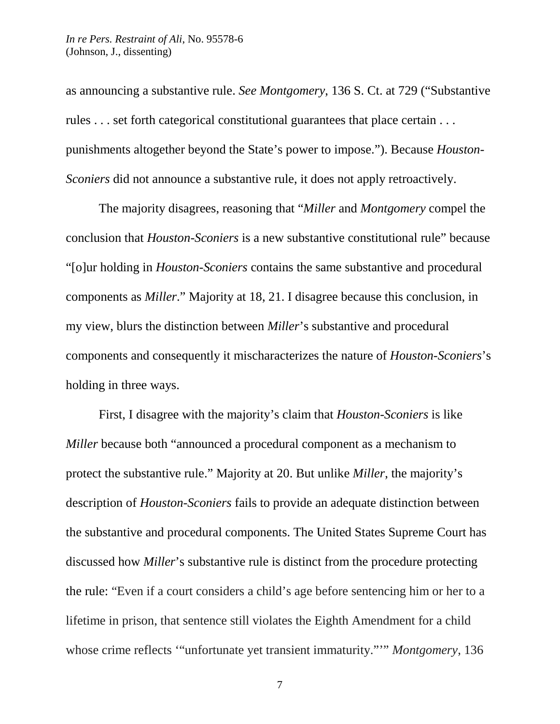as announcing a substantive rule. *See Montgomery*, 136 S. Ct. at 729 ("Substantive rules . . . set forth categorical constitutional guarantees that place certain . . . punishments altogether beyond the State's power to impose."). Because *Houston-Sconiers* did not announce a substantive rule, it does not apply retroactively.

The majority disagrees, reasoning that "*Miller* and *Montgomery* compel the conclusion that *Houston-Sconiers* is a new substantive constitutional rule" because "[o]ur holding in *Houston-Sconiers* contains the same substantive and procedural components as *Miller*." Majority at 18, 21. I disagree because this conclusion, in my view, blurs the distinction between *Miller*'s substantive and procedural components and consequently it mischaracterizes the nature of *Houston-Sconiers*'s holding in three ways.

First, I disagree with the majority's claim that *Houston-Sconiers* is like *Miller* because both "announced a procedural component as a mechanism to protect the substantive rule." Majority at 20. But unlike *Miller*, the majority's description of *Houston-Sconiers* fails to provide an adequate distinction between the substantive and procedural components. The United States Supreme Court has discussed how *Miller*'s substantive rule is distinct from the procedure protecting the rule: "Even if a court considers a child's age before sentencing him or her to a lifetime in prison, that sentence still violates the Eighth Amendment for a child whose crime reflects '"unfortunate yet transient immaturity."'" *Montgomery*, 136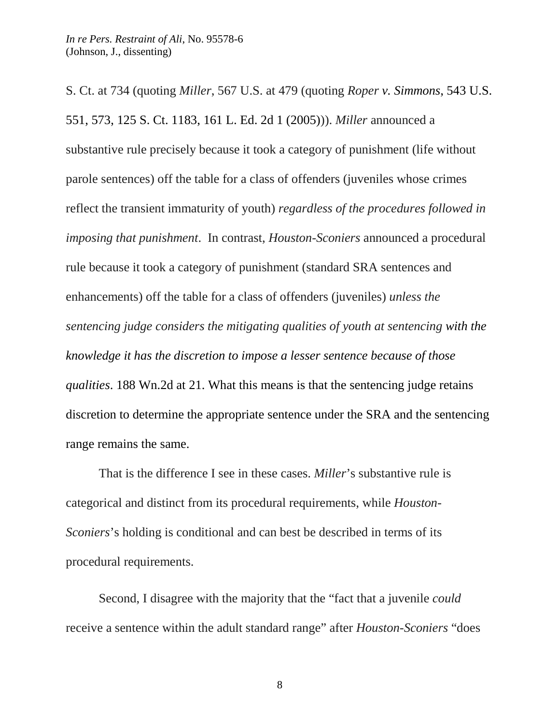S. Ct. at 734 (quoting *Miller*, 567 U.S. at 479 (quoting *Roper v. Simmons*, 543 U.S. 551, 573, 125 S. Ct. 1183, 161 L. Ed. 2d 1 (2005))). *Miller* announced a substantive rule precisely because it took a category of punishment (life without parole sentences) off the table for a class of offenders (juveniles whose crimes reflect the transient immaturity of youth) *regardless of the procedures followed in imposing that punishment*. In contrast, *Houston-Sconiers* announced a procedural rule because it took a category of punishment (standard SRA sentences and enhancements) off the table for a class of offenders (juveniles) *unless the sentencing judge considers the mitigating qualities of youth at sentencing with the knowledge it has the discretion to impose a lesser sentence because of those qualities*. 188 Wn.2d at 21. What this means is that the sentencing judge retains discretion to determine the appropriate sentence under the SRA and the sentencing range remains the same.

That is the difference I see in these cases. *Miller*'s substantive rule is categorical and distinct from its procedural requirements, while *Houston-Sconiers*'s holding is conditional and can best be described in terms of its procedural requirements.

Second, I disagree with the majority that the "fact that a juvenile *could*  receive a sentence within the adult standard range" after *Houston-Sconiers* "does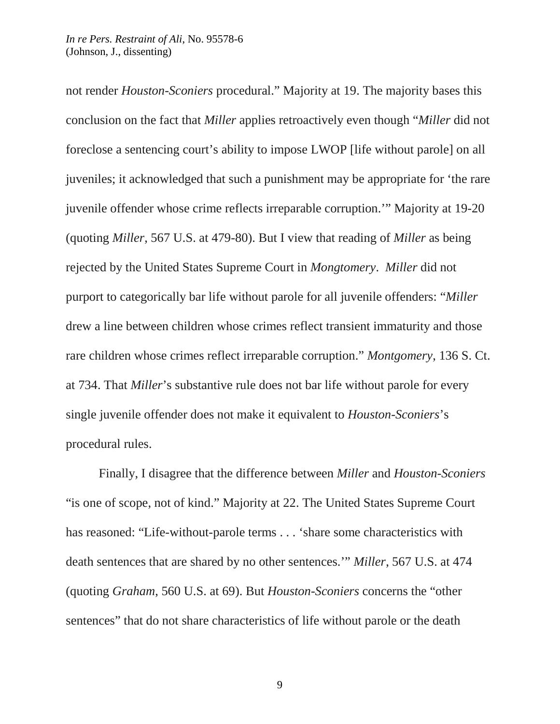not render *Houston-Sconiers* procedural." Majority at 19. The majority bases this conclusion on the fact that *Miller* applies retroactively even though "*Miller* did not foreclose a sentencing court's ability to impose LWOP [life without parole] on all juveniles; it acknowledged that such a punishment may be appropriate for 'the rare juvenile offender whose crime reflects irreparable corruption.'" Majority at 19-20 (quoting *Miller*, 567 U.S. at 479-80). But I view that reading of *Miller* as being rejected by the United States Supreme Court in *Mongtomery*. *Miller* did not purport to categorically bar life without parole for all juvenile offenders: "*Miller*  drew a line between children whose crimes reflect transient immaturity and those rare children whose crimes reflect irreparable corruption." *Montgomery*, 136 S. Ct. at 734. That *Miller*'s substantive rule does not bar life without parole for every single juvenile offender does not make it equivalent to *Houston-Sconiers*'s procedural rules.

Finally, I disagree that the difference between *Miller* and *Houston-Sconiers*  "is one of scope, not of kind." Majority at 22. The United States Supreme Court has reasoned: "Life-without-parole terms . . . 'share some characteristics with death sentences that are shared by no other sentences.'" *Miller*, 567 U.S. at 474 (quoting *Graham*, 560 U.S. at 69). But *Houston-Sconiers* concerns the "other sentences" that do not share characteristics of life without parole or the death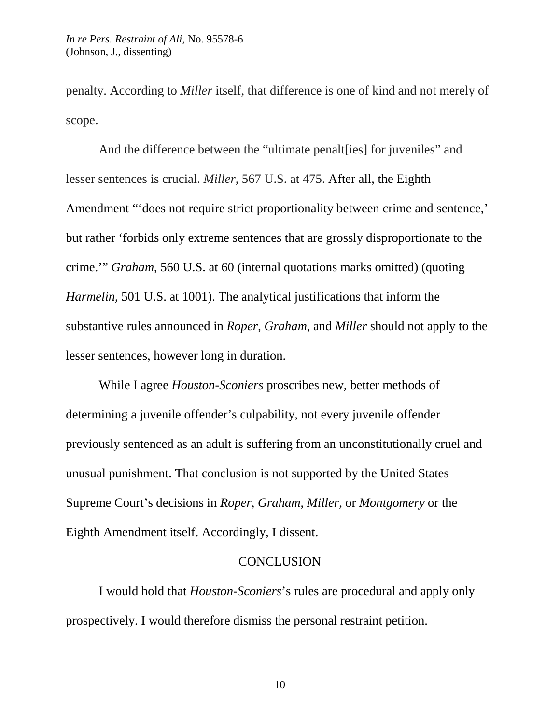penalty. According to *Miller* itself, that difference is one of kind and not merely of scope.

And the difference between the "ultimate penalt[ies] for juveniles" and lesser sentences is crucial. *Miller*, 567 U.S. at 475. After all, the Eighth Amendment "'does not require strict proportionality between crime and sentence,' but rather 'forbids only extreme sentences that are grossly disproportionate to the crime.'" *Graham*, 560 U.S. at 60 (internal quotations marks omitted) (quoting *Harmelin*, 501 U.S. at 1001). The analytical justifications that inform the substantive rules announced in *Roper*, *Graham*, and *Miller* should not apply to the lesser sentences, however long in duration.

While I agree *Houston-Sconiers* proscribes new, better methods of determining a juvenile offender's culpability, not every juvenile offender previously sentenced as an adult is suffering from an unconstitutionally cruel and unusual punishment. That conclusion is not supported by the United States Supreme Court's decisions in *Roper*, *Graham*, *Miller*, or *Montgomery* or the Eighth Amendment itself. Accordingly, I dissent.

## **CONCLUSION**

I would hold that *Houston-Sconiers*'s rules are procedural and apply only prospectively. I would therefore dismiss the personal restraint petition.